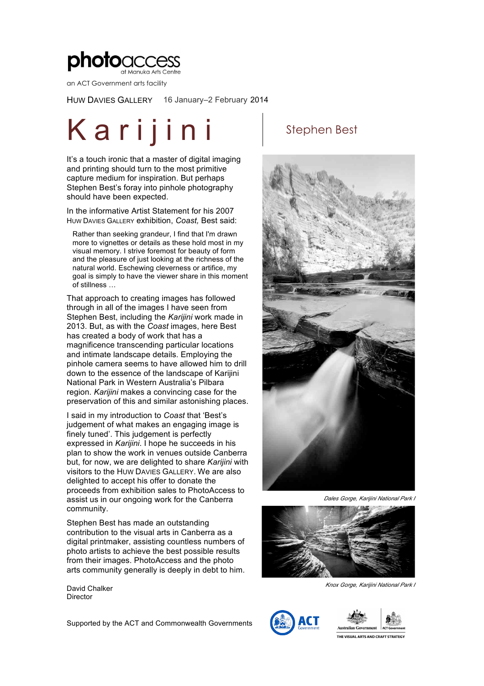

an ACT Government arts facility

HUW DAVIES GALLERY 16 January–2 February 2014

# Karijini stephen Best

It's a touch ironic that a master of digital imaging and printing should turn to the most primitive capture medium for inspiration. But perhaps Stephen Best's foray into pinhole photography should have been expected.

In the informative Artist Statement for his 2007 HUW DAVIES GALLERY exhibition, *Coast,* Best said:

Rather than seeking grandeur, I find that I'm drawn more to vignettes or details as these hold most in my visual memory. I strive foremost for beauty of form and the pleasure of just looking at the richness of the natural world. Eschewing cleverness or artifice, my goal is simply to have the viewer share in this moment of stillness …

That approach to creating images has followed through in all of the images I have seen from Stephen Best, including the *Karijini* work made in 2013. But, as with the *Coast* images, here Best has created a body of work that has a magnificence transcending particular locations and intimate landscape details. Employing the pinhole camera seems to have allowed him to drill down to the essence of the landscape of Karijini National Park in Western Australia's Pilbara region. *Karijini* makes a convincing case for the preservation of this and similar astonishing places.

I said in my introduction to *Coast* that 'Best's judgement of what makes an engaging image is finely tuned'. This judgement is perfectly expressed in *Karijini*. I hope he succeeds in his plan to show the work in venues outside Canberra but, for now, we are delighted to share *Karijini* with visitors to the HUW DAVIES GALLERY. We are also delighted to accept his offer to donate the proceeds from exhibition sales to PhotoAccess to assist us in our ongoing work for the Canberra community.

Stephen Best has made an outstanding contribution to the visual arts in Canberra as a digital printmaker, assisting countless numbers of photo artists to achieve the best possible results from their images. PhotoAccess and the photo arts community generally is deeply in debt to him.

David Chalker Director



*Dales Gorge, Karijini National Park I* 



*Knox Gorge, Karijini National Park I*

Supported by the ACT and Commonwealth Governments



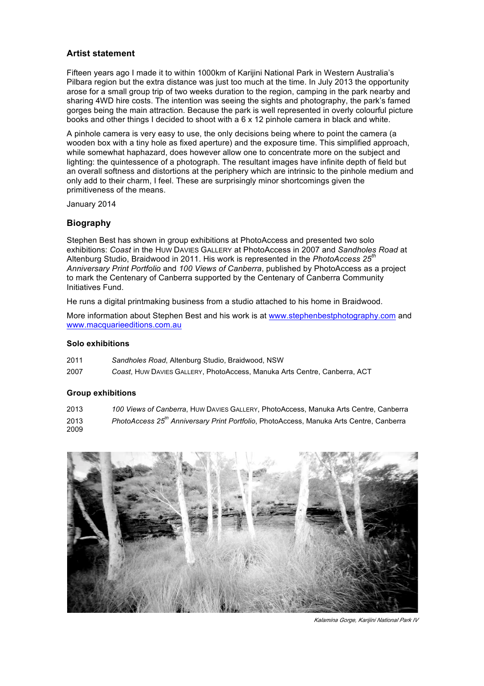## **Artist statement**

Fifteen years ago I made it to within 1000km of Karijini National Park in Western Australia's Pilbara region but the extra distance was just too much at the time. In July 2013 the opportunity arose for a small group trip of two weeks duration to the region, camping in the park nearby and sharing 4WD hire costs. The intention was seeing the sights and photography, the park's famed gorges being the main attraction. Because the park is well represented in overly colourful picture books and other things I decided to shoot with a 6 x 12 pinhole camera in black and white.

A pinhole camera is very easy to use, the only decisions being where to point the camera (a wooden box with a tiny hole as fixed aperture) and the exposure time. This simplified approach, while somewhat haphazard, does however allow one to concentrate more on the subject and lighting: the quintessence of a photograph. The resultant images have infinite depth of field but an overall softness and distortions at the periphery which are intrinsic to the pinhole medium and only add to their charm, I feel. These are surprisingly minor shortcomings given the primitiveness of the means.

January 2014

## **Biography**

Stephen Best has shown in group exhibitions at PhotoAccess and presented two solo exhibitions: *Coast* in the HUW DAVIES GALLERY at PhotoAccess in 2007 and *Sandholes Road* at Altenburg Studio, Braidwood in 2011. His work is represented in the *PhotoAccess 25th Anniversary Print Portfolio* and *100 Views of Canberra*, published by PhotoAccess as a project to mark the Centenary of Canberra supported by the Centenary of Canberra Community Initiatives Fund.

He runs a digital printmaking business from a studio attached to his home in Braidwood.

More information about Stephen Best and his work is at www.stephenbestphotography.com and www.macquarieeditions.com.au

### **Solo exhibitions**

| 2011 | Sandholes Road, Altenburg Studio, Braidwood, NSW                          |
|------|---------------------------------------------------------------------------|
| 2007 | Coast, Huw DAVIES GALLERY, PhotoAccess, Manuka Arts Centre, Canberra, ACT |

#### **Group exhibitions**

2013 *100 Views of Canberra*, HUW DAVIES GALLERY, PhotoAccess, Manuka Arts Centre, Canberra 2013 2009 *PhotoAccess 25th Anniversary Print Portfolio*, PhotoAccess, Manuka Arts Centre, Canberra



*Kalamina Gorge, Karijini National Park IV*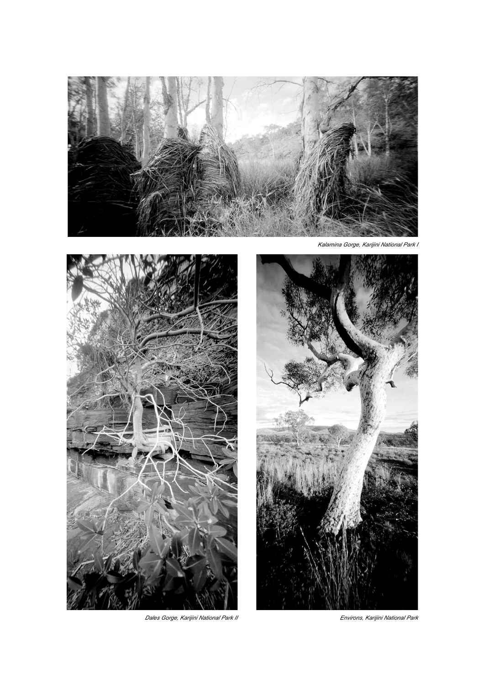



*Dales Gorge, Karijini National Park II Environs, Karijini National Park*

*Kalamina Gorge, Karijini National Park I*